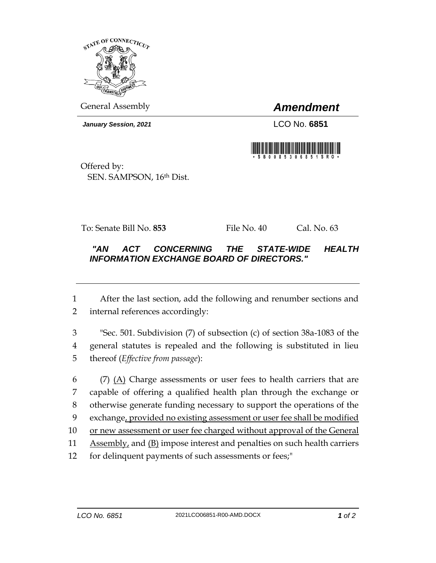

General Assembly *Amendment*

*January Session, 2021* LCO No. **6851**



Offered by: SEN. SAMPSON, 16th Dist.

To: Senate Bill No. **853** File No. 40 Cal. No. 63

## *"AN ACT CONCERNING THE STATE-WIDE HEALTH INFORMATION EXCHANGE BOARD OF DIRECTORS."*

1 After the last section, add the following and renumber sections and 2 internal references accordingly:

3 "Sec. 501. Subdivision (7) of subsection (c) of section 38a-1083 of the 4 general statutes is repealed and the following is substituted in lieu 5 thereof (*Effective from passage*):

 (7) (A) Charge assessments or user fees to health carriers that are capable of offering a qualified health plan through the exchange or otherwise generate funding necessary to support the operations of the exchange, provided no existing assessment or user fee shall be modified 10 or new assessment or user fee charged without approval of the General 11 Assembly, and (B) impose interest and penalties on such health carriers for delinquent payments of such assessments or fees;"